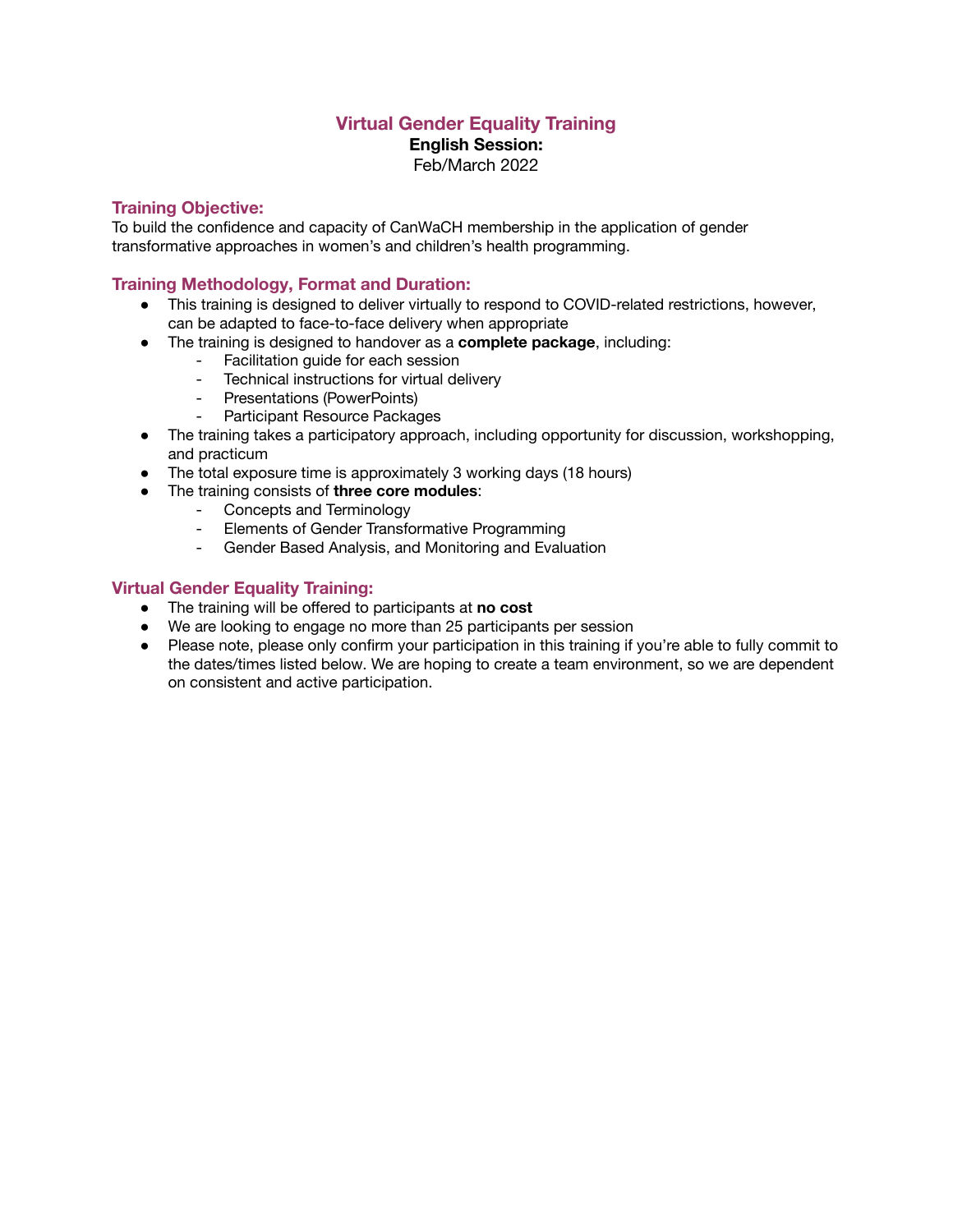# **Virtual Gender Equality Training**

**English Session:**

Feb/March 2022

#### **Training Objective:**

To build the confidence and capacity of CanWaCH membership in the application of gender transformative approaches in women's and children's health programming.

#### **Training Methodology, Format and Duration:**

- This training is designed to deliver virtually to respond to COVID-related restrictions, however, can be adapted to face-to-face delivery when appropriate
- The training is designed to handover as a **complete package**, including:
	- Facilitation guide for each session
	- Technical instructions for virtual delivery
	- Presentations (PowerPoints)
	- Participant Resource Packages
- The training takes a participatory approach, including opportunity for discussion, workshopping, and practicum
- The total exposure time is approximately 3 working days (18 hours)
- The training consists of **three core modules**:
	- Concepts and Terminology
	- Elements of Gender Transformative Programming
	- Gender Based Analysis, and Monitoring and Evaluation

### **Virtual Gender Equality Training:**

- The training will be offered to participants at **no cost**
- We are looking to engage no more than 25 participants per session
- Please note, please only confirm your participation in this training if you're able to fully commit to the dates/times listed below. We are hoping to create a team environment, so we are dependent on consistent and active participation.